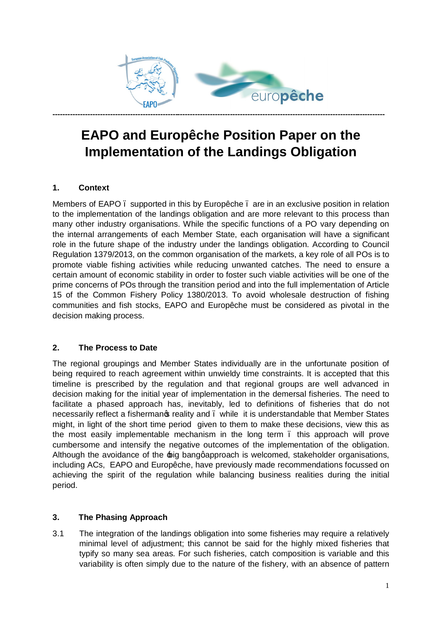

# **EAPO and Europêche Position Paper on the Implementation of the Landings Obligation**

#### **1. Context**

Members of EAPO. supported in this by Europêche. are in an exclusive position in relation to the implementation of the landings obligation and are more relevant to this process than many other industry organisations. While the specific functions of a PO vary depending on the internal arrangements of each Member State, each organisation will have a significant role in the future shape of the industry under the landings obligation. According to Council Regulation 1379/2013, on the common organisation of the markets, a key role of all POs is to promote viable fishing activities while reducing unwanted catches. The need to ensure a certain amount of economic stability in order to foster such viable activities will be one of the prime concerns of POs through the transition period and into the full implementation of Article 15 of the Common Fishery Policy 1380/2013. To avoid wholesale destruction of fishing communities and fish stocks, EAPO and Europêche must be considered as pivotal in the decision making process.

#### **2. The Process to Date**

The regional groupings and Member States individually are in the unfortunate position of being required to reach agreement within unwieldy time constraints. It is accepted that this timeline is prescribed by the regulation and that regional groups are well advanced in decision making for the initial year of implementation in the demersal fisheries. The need to facilitate a phased approach has, inevitably, led to definitions of fisheries that do not necessarily reflect a fishermanos reality and . while it is understandable that Member States might, in light of the short time period given to them to make these decisions, view this as the most easily implementable mechanism in the long term – this approach will prove cumbersome and intensify the negative outcomes of the implementation of the obligation. Although the avoidance of the big banggapproach is welcomed, stakeholder organisations, including ACs, EAPO and Europêche, have previously made recommendations focussed on achieving the spirit of the regulation while balancing business realities during the initial period.

#### **3. The Phasing Approach**

3.1 The integration of the landings obligation into some fisheries may require a relatively minimal level of adjustment; this cannot be said for the highly mixed fisheries that typify so many sea areas. For such fisheries, catch composition is variable and this variability is often simply due to the nature of the fishery, with an absence of pattern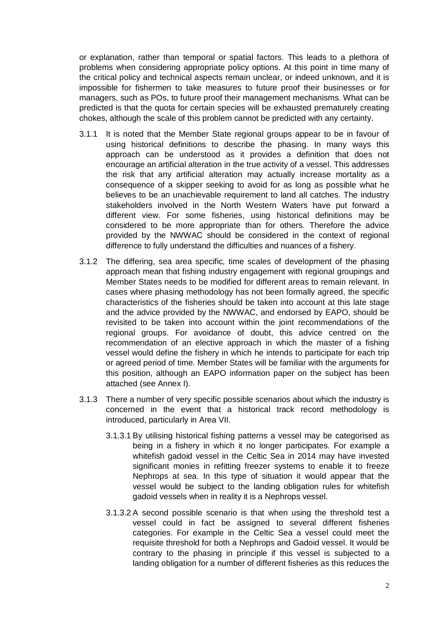or explanation, rather than temporal or spatial factors. This leads to a plethora of problems when considering appropriate policy options. At this point in time many of the critical policy and technical aspects remain unclear, or indeed unknown, and it is impossible for fishermen to take measures to future proof their businesses or for managers, such as POs, to future proof their management mechanisms. What can be predicted is that the quota for certain species will be exhausted prematurely creating chokes, although the scale of this problem cannot be predicted with any certainty.

- 3.1.1 It is noted that the Member State regional groups appear to be in favour of using historical definitions to describe the phasing. In many ways this approach can be understood as it provides a definition that does not encourage an artificial alteration in the true activity of a vessel. This addresses the risk that any artificial alteration may actually increase mortality as a consequence of a skipper seeking to avoid for as long as possible what he believes to be an unachievable requirement to land all catches. The industry stakeholders involved in the North Western Waters have put forward a different view. For some fisheries, using historical definitions may be considered to be more appropriate than for others. Therefore the advice provided by the NWWAC should be considered in the context of regional difference to fully understand the difficulties and nuances of a fishery.
- 3.1.2 The differing, sea area specific, time scales of development of the phasing approach mean that fishing industry engagement with regional groupings and Member States needs to be modified for different areas to remain relevant. In cases where phasing methodology has not been formally agreed, the specific characteristics of the fisheries should be taken into account at this late stage and the advice provided by the NWWAC, and endorsed by EAPO, should be revisited to be taken into account within the joint recommendations of the regional groups. For avoidance of doubt, this advice centred on the recommendation of an elective approach in which the master of a fishing vessel would define the fishery in which he intends to participate for each trip or agreed period of time. Member States will be familiar with the arguments for this position, although an EAPO information paper on the subject has been attached (see Annex I).
- 3.1.3 There a number of very specific possible scenarios about which the industry is concerned in the event that a historical track record methodology is introduced, particularly in Area VII.
	- 3.1.3.1 By utilising historical fishing patterns a vessel may be categorised as being in a fishery in which it no longer participates. For example a whitefish gadoid vessel in the Celtic Sea in 2014 may have invested significant monies in refitting freezer systems to enable it to freeze Nephrops at sea. In this type of situation it would appear that the vessel would be subject to the landing obligation rules for whitefish gadoid vessels when in reality it is a Nephrops vessel.
	- 3.1.3.2 A second possible scenario is that when using the threshold test a vessel could in fact be assigned to several different fisheries categories. For example in the Celtic Sea a vessel could meet the requisite threshold for both a Nephrops and Gadoid vessel. It would be contrary to the phasing in principle if this vessel is subjected to a landing obligation for a number of different fisheries as this reduces the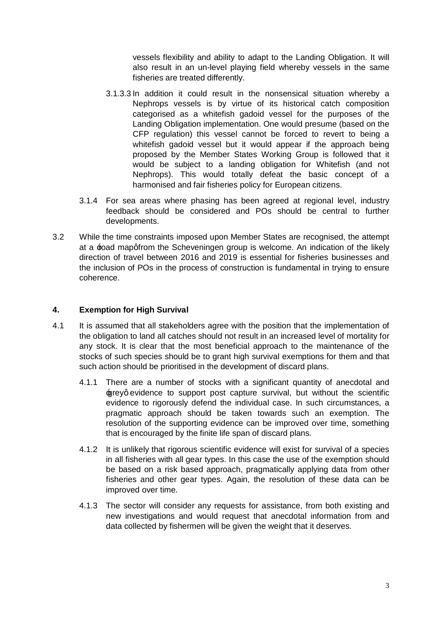vessels flexibility and ability to adapt to the Landing Obligation. It will also result in an un-level playing field whereby vessels in the same fisheries are treated differently.

- 3.1.3.3 In addition it could result in the nonsensical situation whereby a Nephrops vessels is by virtue of its historical catch composition categorised as a whitefish gadoid vessel for the purposes of the Landing Obligation implementation. One would presume (based on the CFP regulation) this vessel cannot be forced to revert to being a whitefish gadoid vessel but it would appear if the approach being proposed by the Member States Working Group is followed that it would be subject to a landing obligation for Whitefish (and not Nephrops). This would totally defeat the basic concept of a harmonised and fair fisheries policy for European citizens.
- 3.1.4 For sea areas where phasing has been agreed at regional level, industry feedback should be considered and POs should be central to further developments.
- 3.2 While the time constraints imposed upon Member States are recognised, the attempt at a  $\pm$ oad mapgfrom the Scheveningen group is welcome. An indication of the likely direction of travel between 2016 and 2019 is essential for fisheries businesses and the inclusion of POs in the process of construction is fundamental in trying to ensure coherence.

#### **4. Exemption for High Survival**

- 4.1 It is assumed that all stakeholders agree with the position that the implementation of the obligation to land all catches should not result in an increased level of mortality for any stock. It is clear that the most beneficial approach to the maintenance of the stocks of such species should be to grant high survival exemptions for them and that such action should be prioritised in the development of discard plans.
	- 4.1.1 There are a number of stocks with a significant quantity of anecdotal and greyq evidence to support post capture survival, but without the scientific evidence to rigorously defend the individual case. In such circumstances, a pragmatic approach should be taken towards such an exemption. The resolution of the supporting evidence can be improved over time, something that is encouraged by the finite life span of discard plans.
	- 4.1.2 It is unlikely that rigorous scientific evidence will exist for survival of a species in all fisheries with all gear types. In this case the use of the exemption should be based on a risk based approach, pragmatically applying data from other fisheries and other gear types. Again, the resolution of these data can be improved over time.
	- 4.1.3 The sector will consider any requests for assistance, from both existing and new investigations and would request that anecdotal information from and data collected by fishermen will be given the weight that it deserves.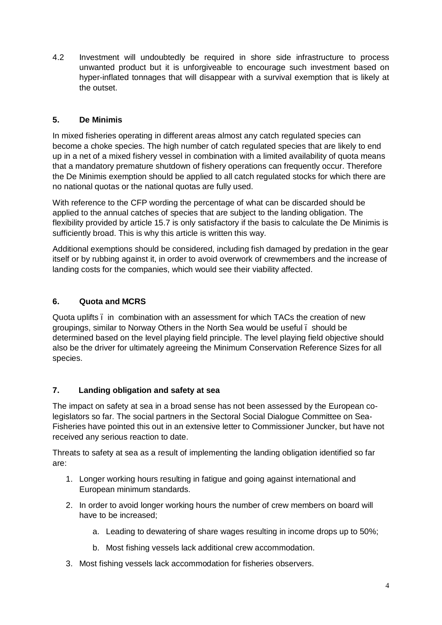4.2 Investment will undoubtedly be required in shore side infrastructure to process unwanted product but it is unforgiveable to encourage such investment based on hyper-inflated tonnages that will disappear with a survival exemption that is likely at the outset.

#### **5. De Minimis**

In mixed fisheries operating in different areas almost any catch regulated species can become a choke species. The high number of catch regulated species that are likely to end up in a net of a mixed fishery vessel in combination with a limited availability of quota means that a mandatory premature shutdown of fishery operations can frequently occur. Therefore the De Minimis exemption should be applied to all catch regulated stocks for which there are no national quotas or the national quotas are fully used.

With reference to the CFP wording the percentage of what can be discarded should be applied to the annual catches of species that are subject to the landing obligation. The flexibility provided by article 15.7 is only satisfactory if the basis to calculate the De Minimis is sufficiently broad. This is why this article is written this way.

Additional exemptions should be considered, including fish damaged by predation in the gear itself or by rubbing against it, in order to avoid overwork of crewmembers and the increase of landing costs for the companies, which would see their viability affected.

#### **6. Quota and MCRS**

Quota uplifts – in combination with an assessment for which TACs the creation of new groupings, similar to Norway Others in the North Sea would be useful – should be determined based on the level playing field principle. The level playing field objective should also be the driver for ultimately agreeing the Minimum Conservation Reference Sizes for all species.

#### **7. Landing obligation and safety at sea**

The impact on safety at sea in a broad sense has not been assessed by the European colegislators so far. The social partners in the Sectoral Social Dialogue Committee on Sea-Fisheries have pointed this out in an extensive letter to Commissioner Juncker, but have not received any serious reaction to date.

Threats to safety at sea as a result of implementing the landing obligation identified so far are:

- 1. Longer working hours resulting in fatigue and going against international and European minimum standards.
- 2. In order to avoid longer working hours the number of crew members on board will have to be increased;
	- a. Leading to dewatering of share wages resulting in income drops up to 50%;
	- b. Most fishing vessels lack additional crew accommodation.
- 3. Most fishing vessels lack accommodation for fisheries observers.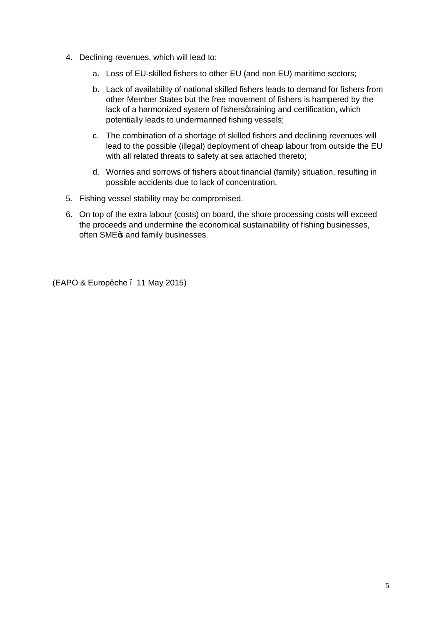- 4. Declining revenues, which will lead to:
	- a. Loss of EU-skilled fishers to other EU (and non EU) maritime sectors;
	- b. Lack of availability of national skilled fishers leads to demand for fishers from other Member States but the free movement of fishers is hampered by the lack of a harmonized system of fishersqtraining and certification, which potentially leads to undermanned fishing vessels;
	- c. The combination of a shortage of skilled fishers and declining revenues will lead to the possible (illegal) deployment of cheap labour from outside the EU with all related threats to safety at sea attached thereto;
	- d. Worries and sorrows of fishers about financial (family) situation, resulting in possible accidents due to lack of concentration.
- 5. Fishing vessel stability may be compromised.
- 6. On top of the extra labour (costs) on board, the shore processing costs will exceed the proceeds and undermine the economical sustainability of fishing businesses, often SME $\infty$  and family businesses.

(EAPO & Europêche – 11 May 2015)